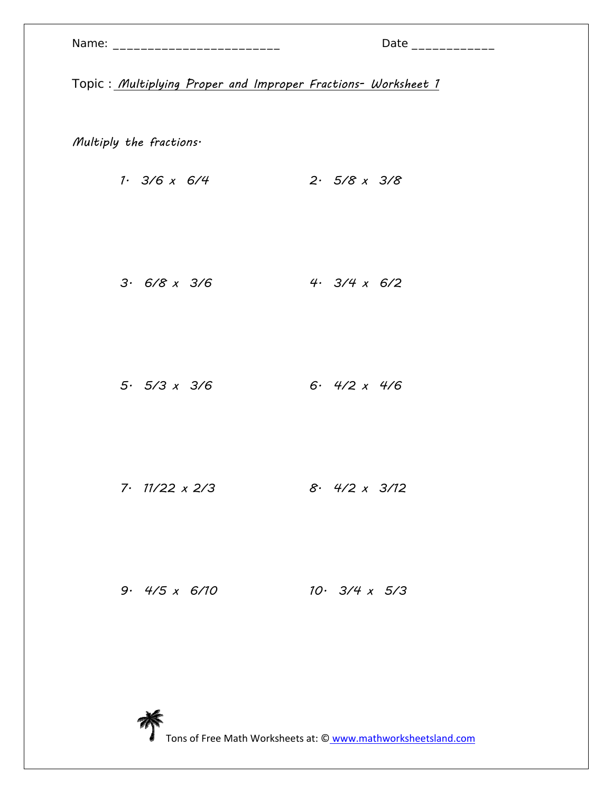| Name: |  |  |  |
|-------|--|--|--|
|       |  |  |  |

Multiply the fractions.

1. 3/6 x 6/4 2. 5/8 x 3/8

3. 6/8 x 3/6 4. 3/4 x 6/2

5. 5/3 x 3/6 6. 4/2 x 4/6

7. 11/22 x 2/3 8. 4/2 x 3/12

9. 4/5 x 6/10 10. 3/4 x 5/3

Tons of Free Math Worksheets at: © www.mathworksheetsland.com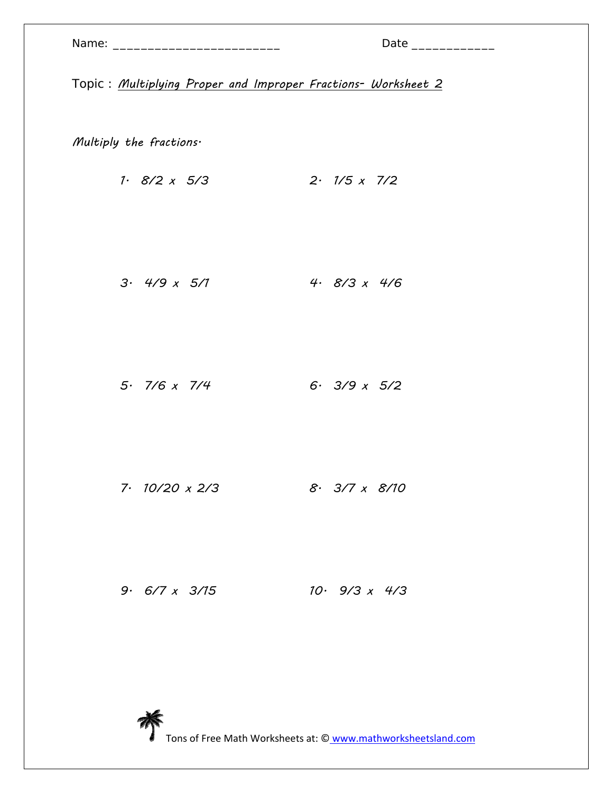| Name: |  |  |
|-------|--|--|
|       |  |  |

Multiply the fractions.

1. 8/2 x 5/3 2. 1/5 x 7/2

3. 4/9 x 5/1 4. 8/3 x 4/6

5. 7/6 x 7/4 6. 3/9 x 5/2

7. 10/20 x 2/3 8. 3/7 x 8/10

9. 6/7 x 3/15 10. 9/3 x 4/3

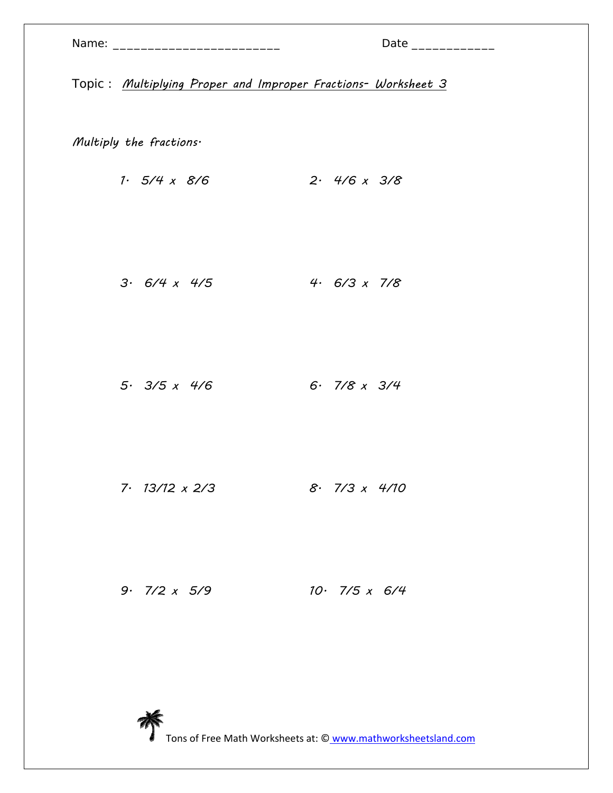Multiply the fractions.

1. 5/4 x 8/6 2. 4/6 x 3/8

3. 6/4 x 4/5 4. 6/3 x 7/8

5. 3/5 x 4/6 6. 7/8 x 3/4

7. 13/12 x 2/3 8. 7/3 x 4/10

9. 7/2 x 5/9 10. 7/5 x 6/4

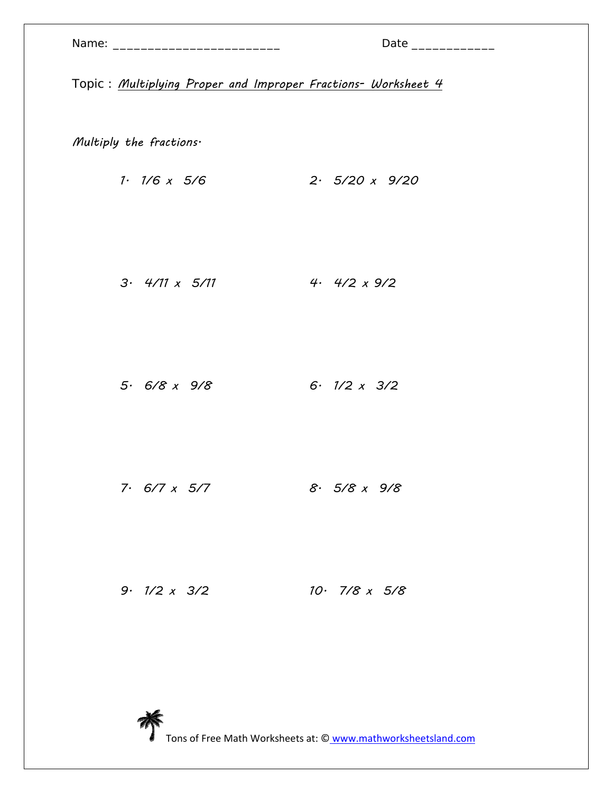| Name: |  |  |
|-------|--|--|
|       |  |  |

Multiply the fractions.

1. 1/6 x 5/6 2. 5/20 x 9/20

3. 4/11 x 5/11 4. 4/2 x 9/2

5. 6/8 x 9/8 6. 1/2 x 3/2

7. 6/7 x 5/7 8. 5/8 x 9/8

9. 1/2 x 3/2 10. 7/8 x 5/8